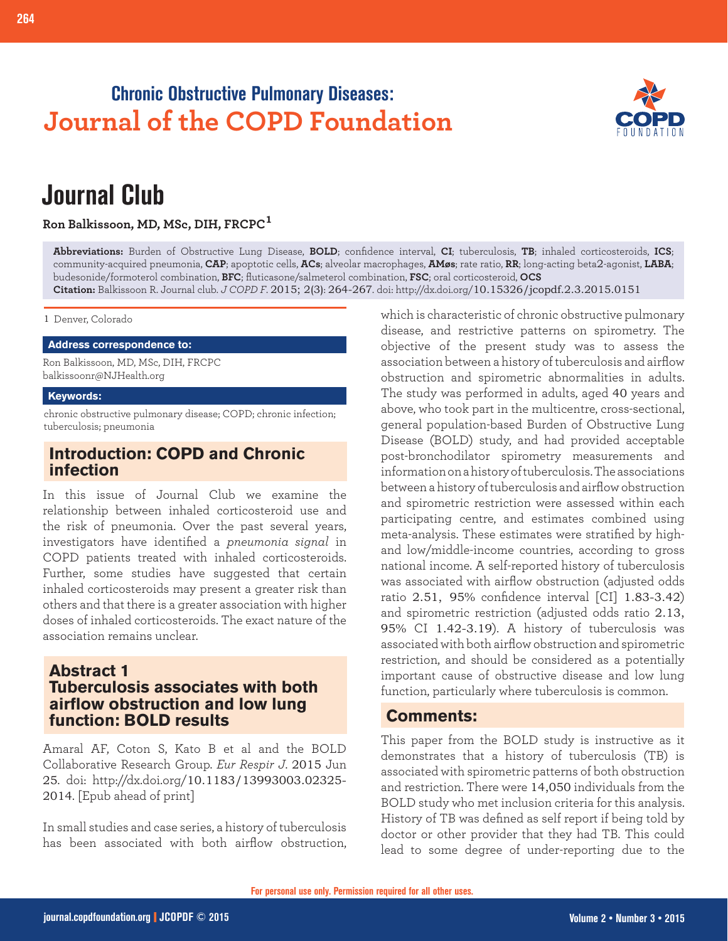## **Chronic Obstructive Pulmonary Diseases: Journal of the COPD Foundation**



# **Journal Club**

**Ron Balkissoon, MD, MSc, DIH, FRCPC<sup>1</sup>**

**Abbreviations:** Burden of Obstructive Lung Disease, **BOLD**; confidence interval, **CI**; tuberculosis, **TB**; inhaled corticosteroids, **ICS**; community-acquired pneumonia, **CAP**; apoptotic cells, **ACs**; alveolar macrophages, **AMøs**; rate ratio, **RR**; long-acting beta2-agonist, **LABA**; budesonide/formoterol combination, **BFC**; fluticasone/salmeterol combination, **FSC**; oral corticosteroid, **OCS Citation:** Balkissoon R. Journal club. *J COPD F*. 2015; 2(3): 264-267. doi: http://dx.doi.org/10.15326/jcopdf.2.3.2015.0151

1 Denver, Colorado

#### **Address correspondence to:**

Ron Balkissoon, MD, MSc, DIH, FRCPC balkissoonr@NJHealth.org

#### **Keywords:**

chronic obstructive pulmonary disease; COPD; chronic infection; tuberculosis; pneumonia

## **Introduction: COPD and Chronic infection**

In this issue of Journal Club we examine the relationship between inhaled corticosteroid use and the risk of pneumonia. Over the past several years, investigators have identified a *pneumonia signal* in COPD patients treated with inhaled corticosteroids. Further, some studies have suggested that certain inhaled corticosteroids may present a greater risk than others and that there is a greater association with higher doses of inhaled corticosteroids. The exact nature of the association remains unclear.

## **Abstract 1 Tuberculosis associates with both airflow obstruction and low lung function: BOLD results**

Amaral AF, Coton S, Kato B et al and the BOLD Collaborative Research Group. *Eur Respir J*. 2015 Jun 25. doi: http://dx.doi.org/10.1183/13993003.02325- 2014. [Epub ahead of print]

In small studies and case series, a history of tuberculosis has been associated with both airflow obstruction, which is characteristic of chronic obstructive pulmonary disease, and restrictive patterns on spirometry. The objective of the present study was to assess the association between a history of tuberculosis and airflow obstruction and spirometric abnormalities in adults. The study was performed in adults, aged 40 years and above, who took part in the multicentre, cross-sectional, general population-based Burden of Obstructive Lung Disease (BOLD) study, and had provided acceptable post-bronchodilator spirometry measurements and information on a history of tuberculosis. The associations between a history of tuberculosis and airflow obstruction and spirometric restriction were assessed within each participating centre, and estimates combined using meta-analysis. These estimates were stratified by highand low/middle-income countries, according to gross national income. A self-reported history of tuberculosis was associated with airflow obstruction (adjusted odds ratio 2.51, 95% confidence interval [CI] 1.83-3.42) and spirometric restriction (adjusted odds ratio 2.13, 95% CI 1.42-3.19). A history of tuberculosis was associated with both airflow obstruction and spirometric restriction, and should be considered as a potentially important cause of obstructive disease and low lung function, particularly where tuberculosis is common.

## **Comments:**

This paper from the BOLD study is instructive as it demonstrates that a history of tuberculosis (TB) is associated with spirometric patterns of both obstruction and restriction. There were 14,050 individuals from the BOLD study who met inclusion criteria for this analysis. History of TB was defined as self report if being told by doctor or other provider that they had TB. This could lead to some degree of under-reporting due to the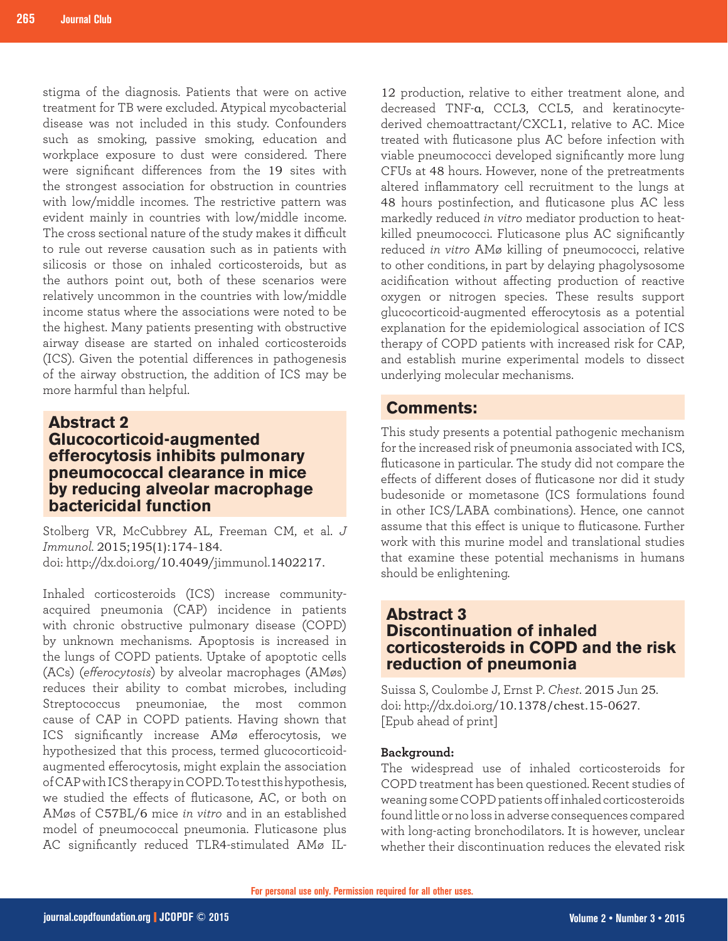stigma of the diagnosis. Patients that were on active treatment for TB were excluded. Atypical mycobacterial disease was not included in this study. Confounders such as smoking, passive smoking, education and workplace exposure to dust were considered. There were significant differences from the 19 sites with the strongest association for obstruction in countries with low/middle incomes. The restrictive pattern was evident mainly in countries with low/middle income. The cross sectional nature of the study makes it difficult to rule out reverse causation such as in patients with silicosis or those on inhaled corticosteroids, but as the authors point out, both of these scenarios were relatively uncommon in the countries with low/middle income status where the associations were noted to be the highest. Many patients presenting with obstructive airway disease are started on inhaled corticosteroids (ICS). Given the potential differences in pathogenesis of the airway obstruction, the addition of ICS may be more harmful than helpful.

## **Abstract 2 Glucocorticoid-augmented efferocytosis inhibits pulmonary pneumococcal clearance in mice by reducing alveolar macrophage bactericidal function**

Stolberg VR, McCubbrey AL, Freeman CM, et al. *J Immunol.* 2015;195(1):174-184. doi: http://dx.doi.org/10.4049/jimmunol.1402217.

Inhaled corticosteroids (ICS) increase communityacquired pneumonia (CAP) incidence in patients with chronic obstructive pulmonary disease (COPD) by unknown mechanisms. Apoptosis is increased in the lungs of COPD patients. Uptake of apoptotic cells (ACs) (*efferocytosis*) by alveolar macrophages (AMøs) reduces their ability to combat microbes, including Streptococcus pneumoniae, the most common cause of CAP in COPD patients. Having shown that ICS significantly increase AMø efferocytosis, we hypothesized that this process, termed glucocorticoidaugmented efferocytosis, might explain the association of CAP with ICS therapy in COPD. To test this hypothesis, we studied the effects of fluticasone, AC, or both on AMøs of C57BL/6 mice *in vitro* and in an established model of pneumococcal pneumonia. Fluticasone plus AC significantly reduced TLR4-stimulated AMø IL-

12 production, relative to either treatment alone, and decreased TNF-α, CCL3, CCL5, and keratinocytederived chemoattractant/CXCL1, relative to AC. Mice treated with fluticasone plus AC before infection with viable pneumococci developed significantly more lung CFUs at 48 hours. However, none of the pretreatments altered inflammatory cell recruitment to the lungs at 48 hours postinfection, and fluticasone plus AC less markedly reduced *in vitro* mediator production to heatkilled pneumococci. Fluticasone plus AC significantly reduced *in vitro* AMø killing of pneumococci, relative to other conditions, in part by delaying phagolysosome acidification without affecting production of reactive oxygen or nitrogen species. These results support glucocorticoid-augmented efferocytosis as a potential explanation for the epidemiological association of ICS therapy of COPD patients with increased risk for CAP, and establish murine experimental models to dissect underlying molecular mechanisms.

## **Comments:**

This study presents a potential pathogenic mechanism for the increased risk of pneumonia associated with ICS, fluticasone in particular. The study did not compare the effects of different doses of fluticasone nor did it study budesonide or mometasone (ICS formulations found in other ICS/LABA combinations). Hence, one cannot assume that this effect is unique to fluticasone. Further work with this murine model and translational studies that examine these potential mechanisms in humans should be enlightening.

## **Abstract 3 Discontinuation of inhaled corticosteroids in COPD and the risk reduction of pneumonia**

Suissa S, Coulombe J, Ernst P. *Chest*. 2015 Jun 25. doi: http://dx.doi.org/10.1378/chest.15-0627. [Epub ahead of print]

#### **Background:**

The widespread use of inhaled corticosteroids for COPD treatment has been questioned. Recent studies of weaning some COPD patients off inhaled corticosteroids found little or no loss in adverse consequences compared with long-acting bronchodilators. It is however, unclear whether their discontinuation reduces the elevated risk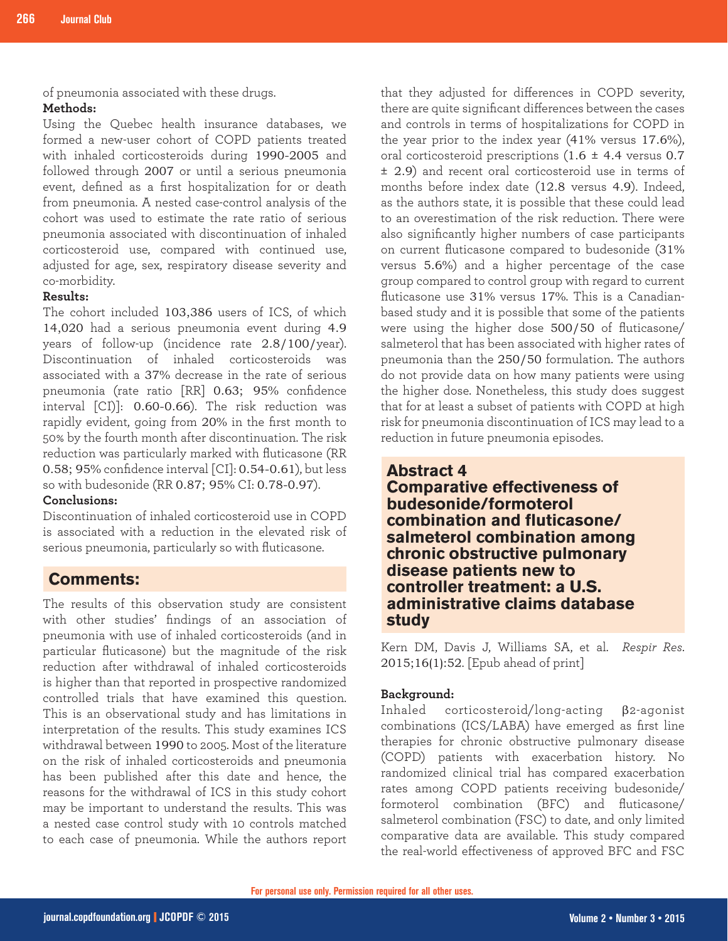of pneumonia associated with these drugs.

#### **Methods:**

Using the Quebec health insurance databases, we formed a new-user cohort of COPD patients treated with inhaled corticosteroids during 1990-2005 and followed through 2007 or until a serious pneumonia event, defined as a first hospitalization for or death from pneumonia. A nested case-control analysis of the cohort was used to estimate the rate ratio of serious pneumonia associated with discontinuation of inhaled corticosteroid use, compared with continued use, adjusted for age, sex, respiratory disease severity and co-morbidity.

### **Results:**

The cohort included 103,386 users of ICS, of which 14,020 had a serious pneumonia event during 4.9 years of follow-up (incidence rate 2.8/100/year). Discontinuation of inhaled corticosteroids was associated with a 37% decrease in the rate of serious pneumonia (rate ratio [RR] 0.63; 95% confidence interval [CI)]: 0.60-0.66). The risk reduction was rapidly evident, going from 20% in the first month to 50% by the fourth month after discontinuation. The risk reduction was particularly marked with fluticasone (RR 0.58; 95% confidence interval [CI]: 0.54-0.61), but less so with budesonide (RR 0.87; 95% CI: 0.78-0.97).

#### **Conclusions:**

Discontinuation of inhaled corticosteroid use in COPD is associated with a reduction in the elevated risk of serious pneumonia, particularly so with fluticasone.

## **Comments:**

The results of this observation study are consistent with other studies' findings of an association of pneumonia with use of inhaled corticosteroids (and in particular fluticasone) but the magnitude of the risk reduction after withdrawal of inhaled corticosteroids is higher than that reported in prospective randomized controlled trials that have examined this question. This is an observational study and has limitations in interpretation of the results. This study examines ICS withdrawal between 1990 to 2005. Most of the literature on the risk of inhaled corticosteroids and pneumonia has been published after this date and hence, the reasons for the withdrawal of ICS in this study cohort may be important to understand the results. This was a nested case control study with 10 controls matched to each case of pneumonia. While the authors report that they adjusted for differences in COPD severity, there are quite significant differences between the cases and controls in terms of hospitalizations for COPD in the year prior to the index year (41% versus 17.6%), oral corticosteroid prescriptions  $(1.6 \pm 4.4 \text{ versus } 0.7)$ ± 2.9) and recent oral corticosteroid use in terms of months before index date (12.8 versus 4.9). Indeed, as the authors state, it is possible that these could lead to an overestimation of the risk reduction. There were also significantly higher numbers of case participants on current fluticasone compared to budesonide (31% versus 5.6%) and a higher percentage of the case group compared to control group with regard to current fluticasone use 31% versus 17%. This is a Canadianbased study and it is possible that some of the patients were using the higher dose 500/50 of fluticasone/ salmeterol that has been associated with higher rates of pneumonia than the 250/50 formulation. The authors do not provide data on how many patients were using the higher dose. Nonetheless, this study does suggest that for at least a subset of patients with COPD at high risk for pneumonia discontinuation of ICS may lead to a reduction in future pneumonia episodes.

## **Abstract 4 Comparative effectiveness of budesonide/formoterol combination and fluticasone/ salmeterol combination among chronic obstructive pulmonary disease patients new to controller treatment: a U.S. administrative claims database study**

Kern DM, Davis J, Williams SA, et al. *Respir Res*. 2015;16(1):52. [Epub ahead of print]

#### **Background:**

Inhaled corticosteroid/long-acting β2-agonist combinations (ICS/LABA) have emerged as first line therapies for chronic obstructive pulmonary disease (COPD) patients with exacerbation history. No randomized clinical trial has compared exacerbation rates among COPD patients receiving budesonide/ formoterol combination (BFC) and fluticasone/ salmeterol combination (FSC) to date, and only limited comparative data are available. This study compared the real-world effectiveness of approved BFC and FSC